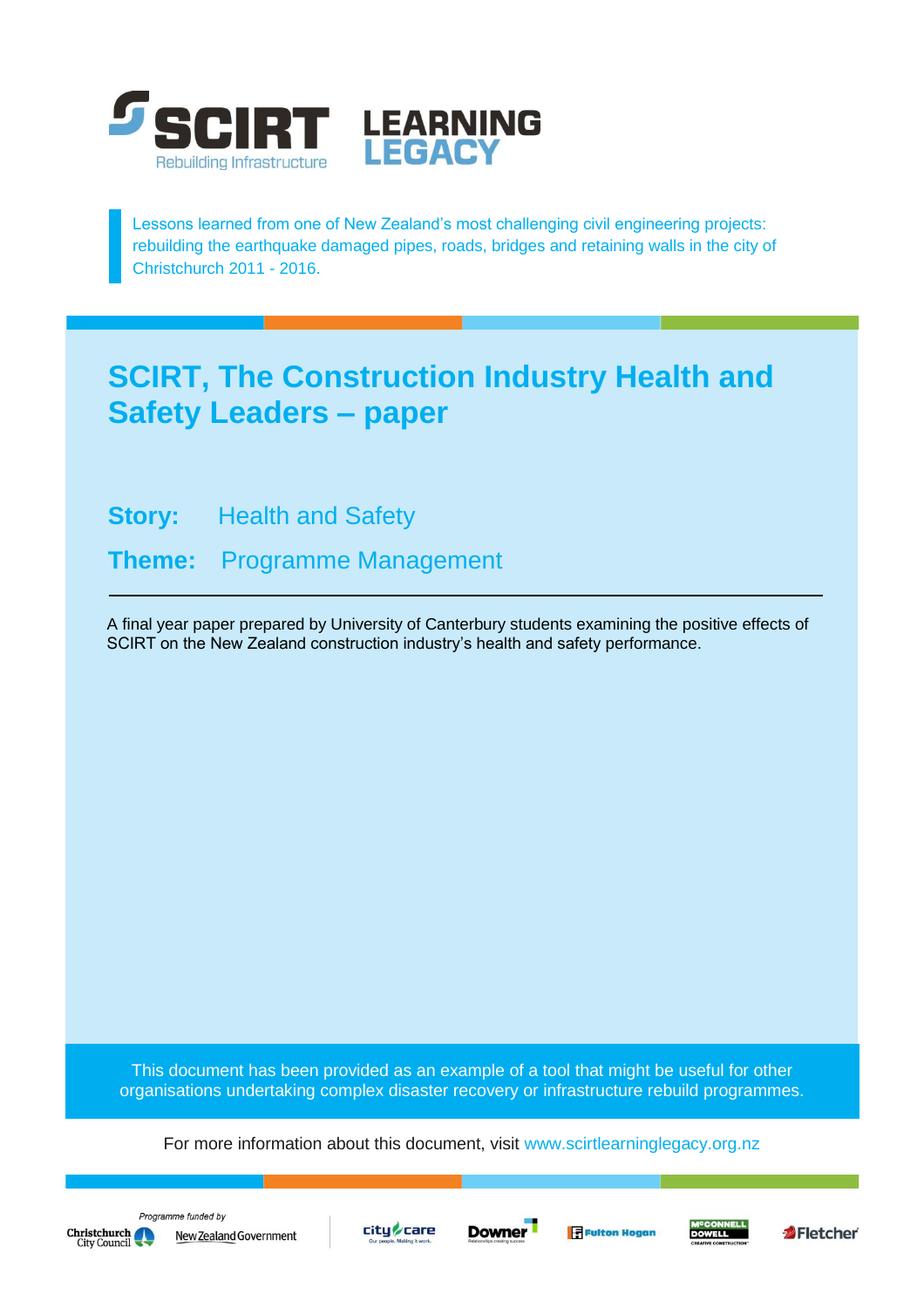

Lessons learned from one of New Zealand's most challenging civil engineering projects: rebuilding the earthquake damaged pipes, roads, bridges and retaining walls in the city of Christchurch 2011 - 2016.

# **SCIRT, The Construction Industry Health and Safety Leaders – paper**

**Story:** Health and Safety

**Theme:** Programme Management

A final year paper prepared by University of Canterbury students examining the positive effects of SCIRT on the New Zealand construction industry's health and safety performance.

This document has been provided as an example of a tool that might be useful for other organisations undertaking complex disaster recovery or infrastructure rebuild programmes.

For more information about this document, visit [www.scirtlearninglegacy.org.nz](http://www.scirtlearninglegacy.org.nz/)









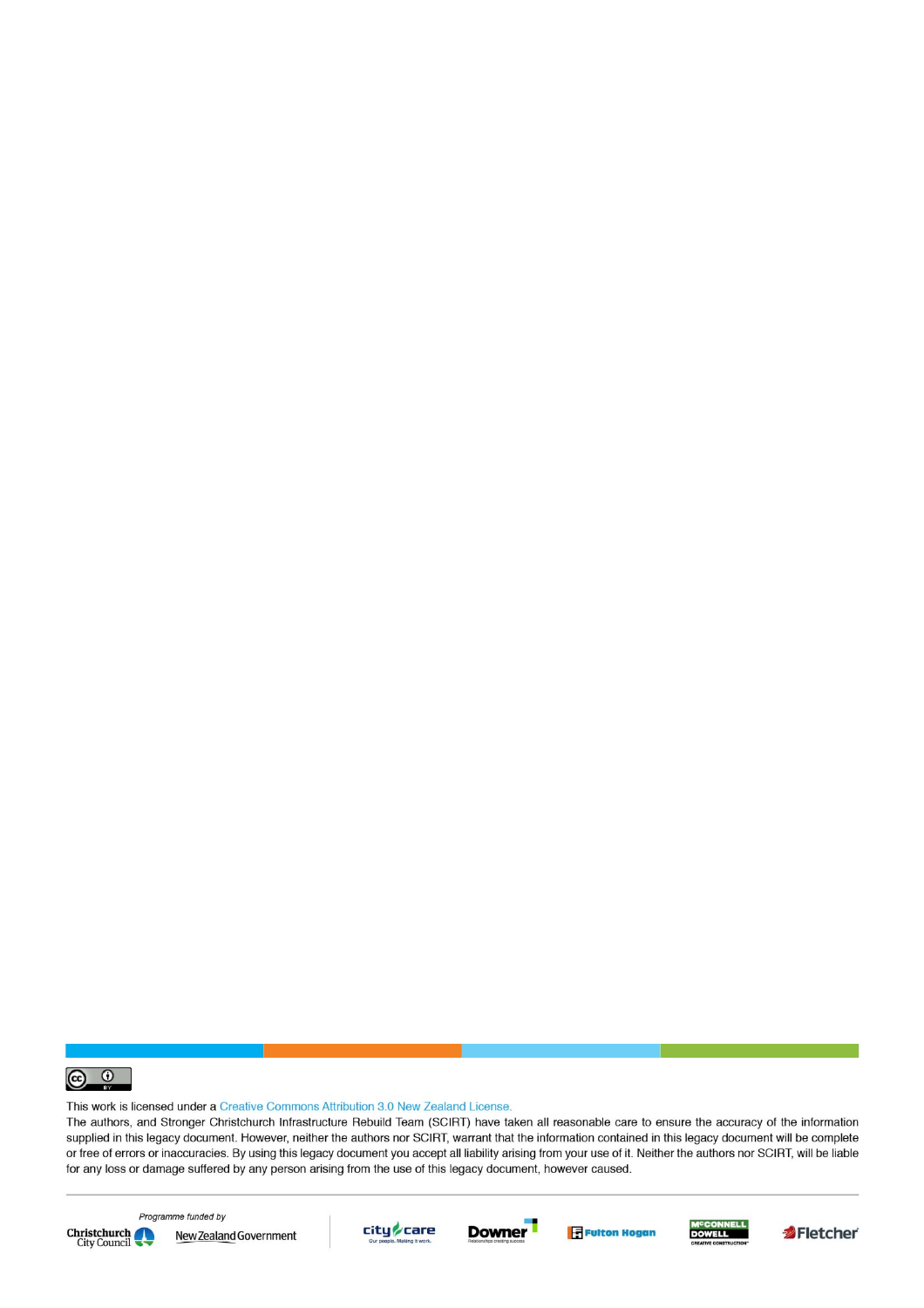

This work is licensed under a Creative Commons Attribution 3.0 New Zealand License.

The authors, and Stronger Christchurch Infrastructure Rebuild Team (SCIRT) have taken all reasonable care to ensure the accuracy of the information supplied in this legacy document. However, neither the authors nor SCIRT, warrant that the information contained in this legacy document will be complete or free of errors or inaccuracies. By using this legacy document you accept all liability arising from your use of it. Neither the authors nor SCIRT, will be liable for any loss or damage suffered by any person arising from the use of this legacy document, however caused.



Programme funded by New Zealand Government









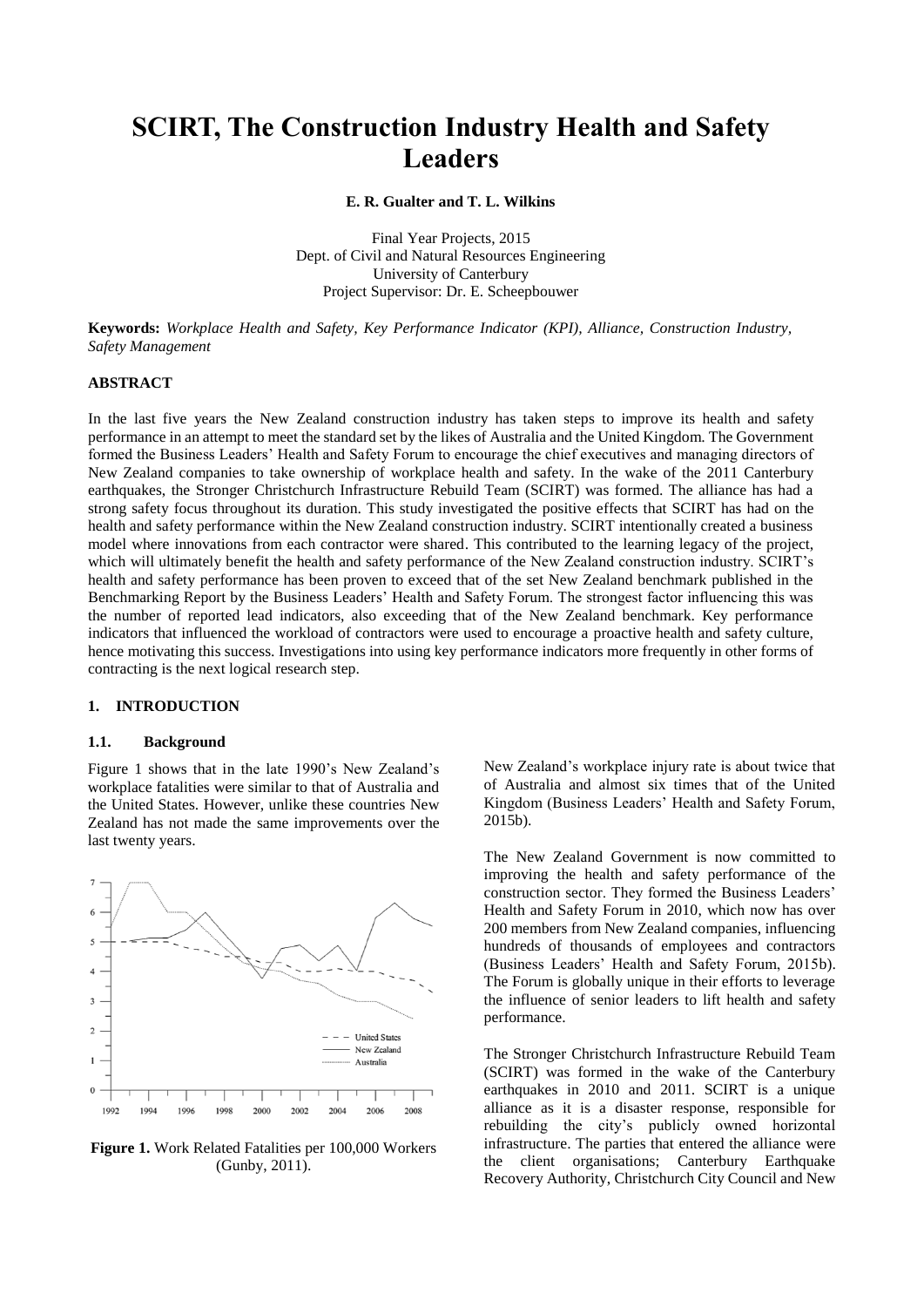# **SCIRT, The Construction Industry Health and Safety Leaders**

**E. R. Gualter and T. L. Wilkins**

Final Year Projects, 2015 Dept. of Civil and Natural Resources Engineering University of Canterbury Project Supervisor: Dr. E. Scheepbouwer

**Keywords:** *Workplace Health and Safety, Key Performance Indicator (KPI), Alliance, Construction Industry, Safety Management*

# **ABSTRACT**

In the last five years the New Zealand construction industry has taken steps to improve its health and safety performance in an attempt to meet the standard set by the likes of Australia and the United Kingdom. The Government formed the Business Leaders' Health and Safety Forum to encourage the chief executives and managing directors of New Zealand companies to take ownership of workplace health and safety. In the wake of the 2011 Canterbury earthquakes, the Stronger Christchurch Infrastructure Rebuild Team (SCIRT) was formed. The alliance has had a strong safety focus throughout its duration. This study investigated the positive effects that SCIRT has had on the health and safety performance within the New Zealand construction industry. SCIRT intentionally created a business model where innovations from each contractor were shared. This contributed to the learning legacy of the project, which will ultimately benefit the health and safety performance of the New Zealand construction industry. SCIRT's health and safety performance has been proven to exceed that of the set New Zealand benchmark published in the Benchmarking Report by the Business Leaders' Health and Safety Forum. The strongest factor influencing this was the number of reported lead indicators, also exceeding that of the New Zealand benchmark. Key performance indicators that influenced the workload of contractors were used to encourage a proactive health and safety culture, hence motivating this success. Investigations into using key performance indicators more frequently in other forms of contracting is the next logical research step.

#### **1. INTRODUCTION**

#### **1.1. Background**

Figure 1 shows that in the late 1990's New Zealand's workplace fatalities were similar to that of Australia and the United States. However, unlike these countries New Zealand has not made the same improvements over the last twenty years.



**Figure 1.** Work Related Fatalities per 100,000 Workers (Gunby, 2011).

New Zealand's workplace injury rate is about twice that of Australia and almost six times that of the United Kingdom (Business Leaders' Health and Safety Forum, 2015b).

The New Zealand Government is now committed to improving the health and safety performance of the construction sector. They formed the Business Leaders' Health and Safety Forum in 2010, which now has over 200 members from New Zealand companies, influencing hundreds of thousands of employees and contractors (Business Leaders' Health and Safety Forum, 2015b). The Forum is globally unique in their efforts to leverage the influence of senior leaders to lift health and safety performance.

The Stronger Christchurch Infrastructure Rebuild Team (SCIRT) was formed in the wake of the Canterbury earthquakes in 2010 and 2011. SCIRT is a unique alliance as it is a disaster response, responsible for rebuilding the city's publicly owned horizontal infrastructure. The parties that entered the alliance were the client organisations; Canterbury Earthquake Recovery Authority, Christchurch City Council and New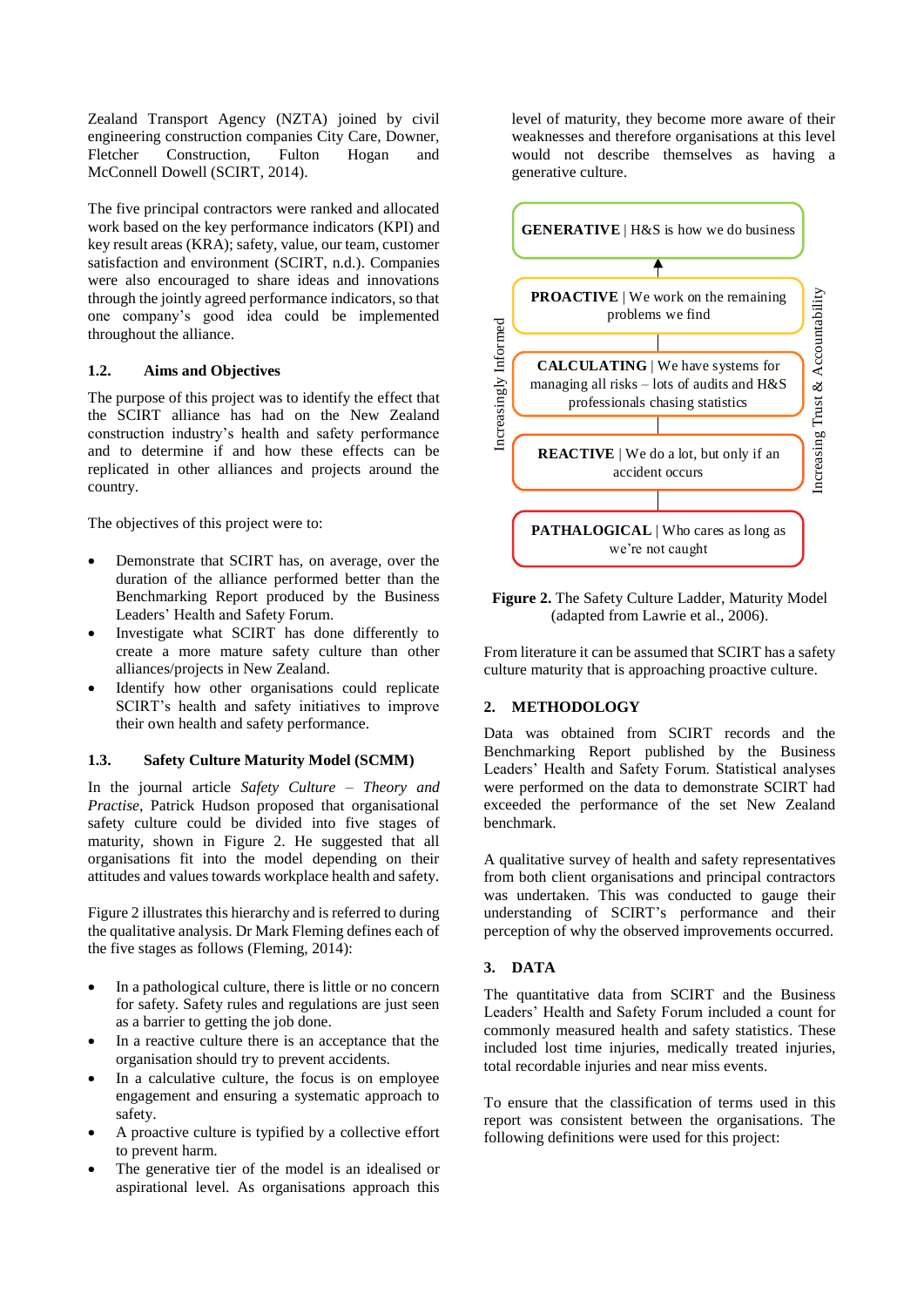Zealand Transport Agency (NZTA) joined by civil engineering construction companies City Care, Downer, Fletcher Construction, Fulton Hogan and McConnell Dowell (SCIRT, 2014).

The five principal contractors were ranked and allocated work based on the key performance indicators (KPI) and key result areas (KRA); safety, value, our team, customer satisfaction and environment (SCIRT, n.d.). Companies were also encouraged to share ideas and innovations through the jointly agreed performance indicators, so that one company's good idea could be implemented throughout the alliance.

#### **1.2. Aims and Objectives**

The purpose of this project was to identify the effect that the SCIRT alliance has had on the New Zealand construction industry's health and safety performance and to determine if and how these effects can be replicated in other alliances and projects around the country.

The objectives of this project were to:

- Demonstrate that SCIRT has, on average, over the duration of the alliance performed better than the Benchmarking Report produced by the Business Leaders' Health and Safety Forum.
- Investigate what SCIRT has done differently to create a more mature safety culture than other alliances/projects in New Zealand.
- Identify how other organisations could replicate SCIRT's health and safety initiatives to improve their own health and safety performance.

#### **1.3. Safety Culture Maturity Model (SCMM)**

In the journal article *Safety Culture – Theory and Practise*, Patrick Hudson proposed that organisational safety culture could be divided into five stages of maturity, shown in [Figure 2.](#page-3-0) He suggested that all organisations fit into the model depending on their attitudes and values towards workplace health and safety.

Figure 2 illustrates this hierarchy and is referred to during the qualitative analysis. Dr Mark Fleming defines each of the five stages as follows (Fleming, 2014):

- In a pathological culture, there is little or no concern for safety. Safety rules and regulations are just seen as a barrier to getting the job done.
- In a reactive culture there is an acceptance that the organisation should try to prevent accidents.
- In a calculative culture, the focus is on employee engagement and ensuring a systematic approach to safety.
- A proactive culture is typified by a collective effort to prevent harm.
- The generative tier of the model is an idealised or aspirational level. As organisations approach this

level of maturity, they become more aware of their weaknesses and therefore organisations at this level would not describe themselves as having a generative culture.



<span id="page-3-0"></span>**Figure 2.** The Safety Culture Ladder, Maturity Model (adapted from Lawrie et al., 2006).

From literature it can be assumed that SCIRT has a safety culture maturity that is approaching proactive culture.

# **2. METHODOLOGY**

Data was obtained from SCIRT records and the Benchmarking Report published by the Business Leaders' Health and Safety Forum. Statistical analyses were performed on the data to demonstrate SCIRT had exceeded the performance of the set New Zealand benchmark.

A qualitative survey of health and safety representatives from both client organisations and principal contractors was undertaken. This was conducted to gauge their understanding of SCIRT's performance and their perception of why the observed improvements occurred.

# **3. DATA**

The quantitative data from SCIRT and the Business Leaders' Health and Safety Forum included a count for commonly measured health and safety statistics. These included lost time injuries, medically treated injuries, total recordable injuries and near miss events.

To ensure that the classification of terms used in this report was consistent between the organisations. The following definitions were used for this project: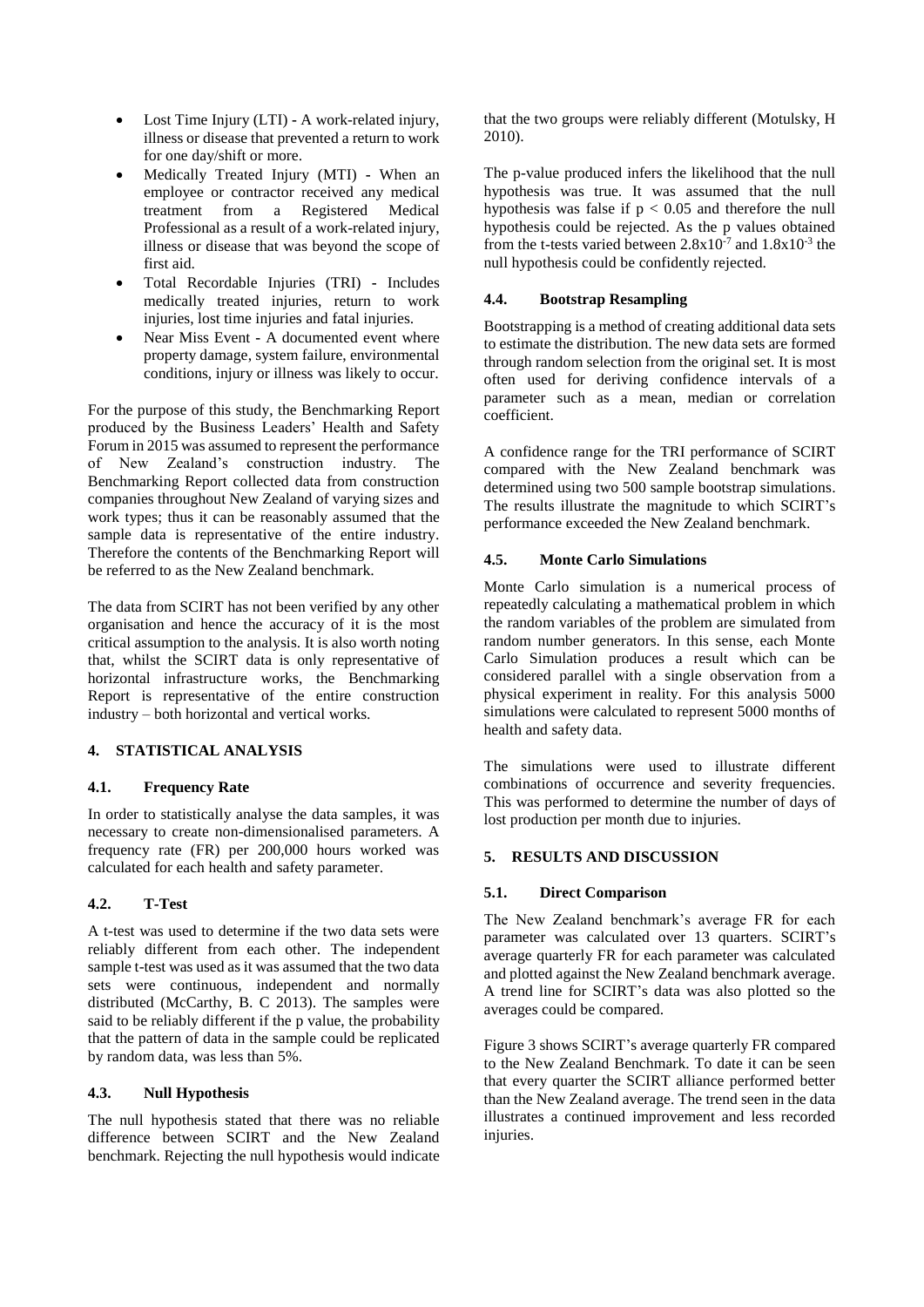- Lost Time Injury (LTI) **-** A work-related injury, illness or disease that prevented a return to work for one day/shift or more.
- Medically Treated Injury (MTI) **-** When an employee or contractor received any medical treatment from a Registered Medical Professional as a result of a work-related injury, illness or disease that was beyond the scope of first aid.
- Total Recordable Injuries (TRI) **-** Includes medically treated injuries, return to work injuries, lost time injuries and fatal injuries.
- Near Miss Event **-** A documented event where property damage, system failure, environmental conditions, injury or illness was likely to occur.

For the purpose of this study, the Benchmarking Report produced by the Business Leaders' Health and Safety Forum in 2015 was assumed to represent the performance of New Zealand's construction industry. The Benchmarking Report collected data from construction companies throughout New Zealand of varying sizes and work types; thus it can be reasonably assumed that the sample data is representative of the entire industry. Therefore the contents of the Benchmarking Report will be referred to as the New Zealand benchmark.

The data from SCIRT has not been verified by any other organisation and hence the accuracy of it is the most critical assumption to the analysis. It is also worth noting that, whilst the SCIRT data is only representative of horizontal infrastructure works, the Benchmarking Report is representative of the entire construction industry – both horizontal and vertical works.

# **4. STATISTICAL ANALYSIS**

# **4.1. Frequency Rate**

In order to statistically analyse the data samples, it was necessary to create non-dimensionalised parameters. A frequency rate (FR) per 200,000 hours worked was calculated for each health and safety parameter.

# **4.2. T-Test**

A t-test was used to determine if the two data sets were reliably different from each other. The independent sample t-test was used as it was assumed that the two data sets were continuous, independent and normally distributed (McCarthy, B. C 2013). The samples were said to be reliably different if the p value, the probability that the pattern of data in the sample could be replicated by random data, was less than 5%.

# **4.3. Null Hypothesis**

The null hypothesis stated that there was no reliable difference between SCIRT and the New Zealand benchmark. Rejecting the null hypothesis would indicate that the two groups were reliably different (Motulsky, H 2010).

The p-value produced infers the likelihood that the null hypothesis was true. It was assumed that the null hypothesis was false if  $p < 0.05$  and therefore the null hypothesis could be rejected. As the p values obtained from the t-tests varied between  $2.8 \times 10^{-7}$  and  $1.8 \times 10^{-3}$  the null hypothesis could be confidently rejected.

# **4.4. Bootstrap Resampling**

Bootstrapping is a method of creating additional data sets to estimate the distribution. The new data sets are formed through random selection from the original set. It is most often used for deriving confidence intervals of a parameter such as a mean, median or correlation coefficient.

A confidence range for the TRI performance of SCIRT compared with the New Zealand benchmark was determined using two 500 sample bootstrap simulations. The results illustrate the magnitude to which SCIRT's performance exceeded the New Zealand benchmark.

# **4.5. Monte Carlo Simulations**

Monte Carlo simulation is a numerical process of repeatedly calculating a mathematical problem in which the random variables of the problem are simulated from random number generators. In this sense, each Monte Carlo Simulation produces a result which can be considered parallel with a single observation from a physical experiment in reality. For this analysis 5000 simulations were calculated to represent 5000 months of health and safety data.

The simulations were used to illustrate different combinations of occurrence and severity frequencies. This was performed to determine the number of days of lost production per month due to injuries.

# **5. RESULTS AND DISCUSSION**

# **5.1. Direct Comparison**

The New Zealand benchmark's average FR for each parameter was calculated over 13 quarters. SCIRT's average quarterly FR for each parameter was calculated and plotted against the New Zealand benchmark average. A trend line for SCIRT's data was also plotted so the averages could be compared.

Figure 3 shows SCIRT's average quarterly FR compared to the New Zealand Benchmark. To date it can be seen that every quarter the SCIRT alliance performed better than the New Zealand average. The trend seen in the data illustrates a continued improvement and less recorded injuries.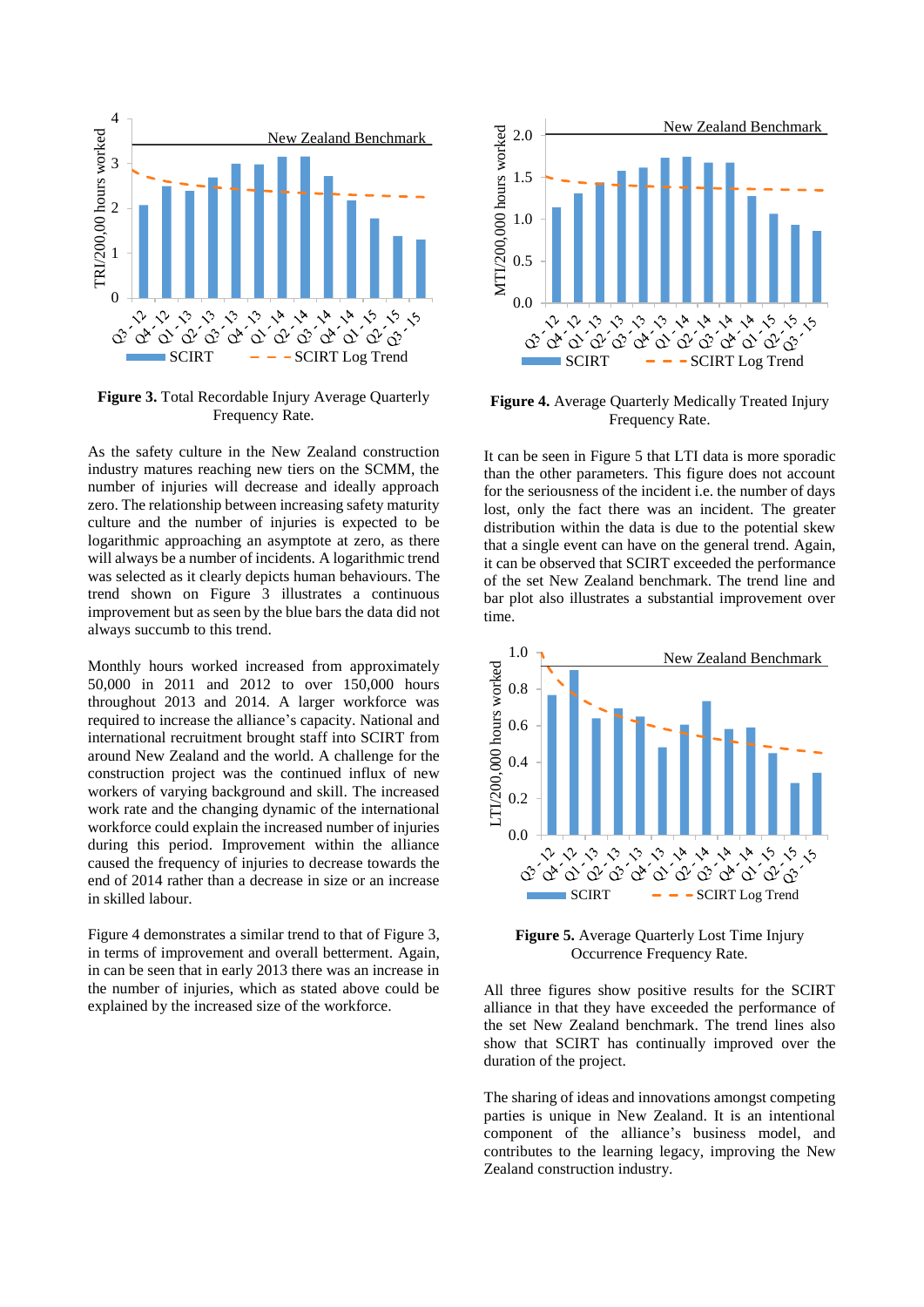

**Figure 3.** Total Recordable Injury Average Quarterly Frequency Rate.

As the safety culture in the New Zealand construction industry matures reaching new tiers on the SCMM, the number of injuries will decrease and ideally approach zero. The relationship between increasing safety maturity culture and the number of injuries is expected to be logarithmic approaching an asymptote at zero, as there will always be a number of incidents. A logarithmic trend was selected as it clearly depicts human behaviours. The trend shown on Figure 3 illustrates a continuous improvement but as seen by the blue bars the data did not always succumb to this trend.

Monthly hours worked increased from approximately 50,000 in 2011 and 2012 to over 150,000 hours throughout 2013 and 2014. A larger workforce was required to increase the alliance's capacity. National and international recruitment brought staff into SCIRT from around New Zealand and the world. A challenge for the construction project was the continued influx of new workers of varying background and skill. The increased work rate and the changing dynamic of the international workforce could explain the increased number of injuries during this period. Improvement within the alliance caused the frequency of injuries to decrease towards the end of 2014 rather than a decrease in size or an increase in skilled labour.

Figure 4 demonstrates a similar trend to that of Figure 3, in terms of improvement and overall betterment. Again, in can be seen that in early 2013 there was an increase in the number of injuries, which as stated above could be explained by the increased size of the workforce.



**Figure 4.** Average Quarterly Medically Treated Injury Frequency Rate.

It can be seen in Figure 5 that LTI data is more sporadic than the other parameters. This figure does not account for the seriousness of the incident i.e. the number of days lost, only the fact there was an incident. The greater distribution within the data is due to the potential skew that a single event can have on the general trend. Again, it can be observed that SCIRT exceeded the performance of the set New Zealand benchmark. The trend line and bar plot also illustrates a substantial improvement over time.



**Figure 5.** Average Quarterly Lost Time Injury Occurrence Frequency Rate.

All three figures show positive results for the SCIRT alliance in that they have exceeded the performance of the set New Zealand benchmark. The trend lines also show that SCIRT has continually improved over the duration of the project.

The sharing of ideas and innovations amongst competing parties is unique in New Zealand. It is an intentional component of the alliance's business model, and contributes to the learning legacy, improving the New Zealand construction industry.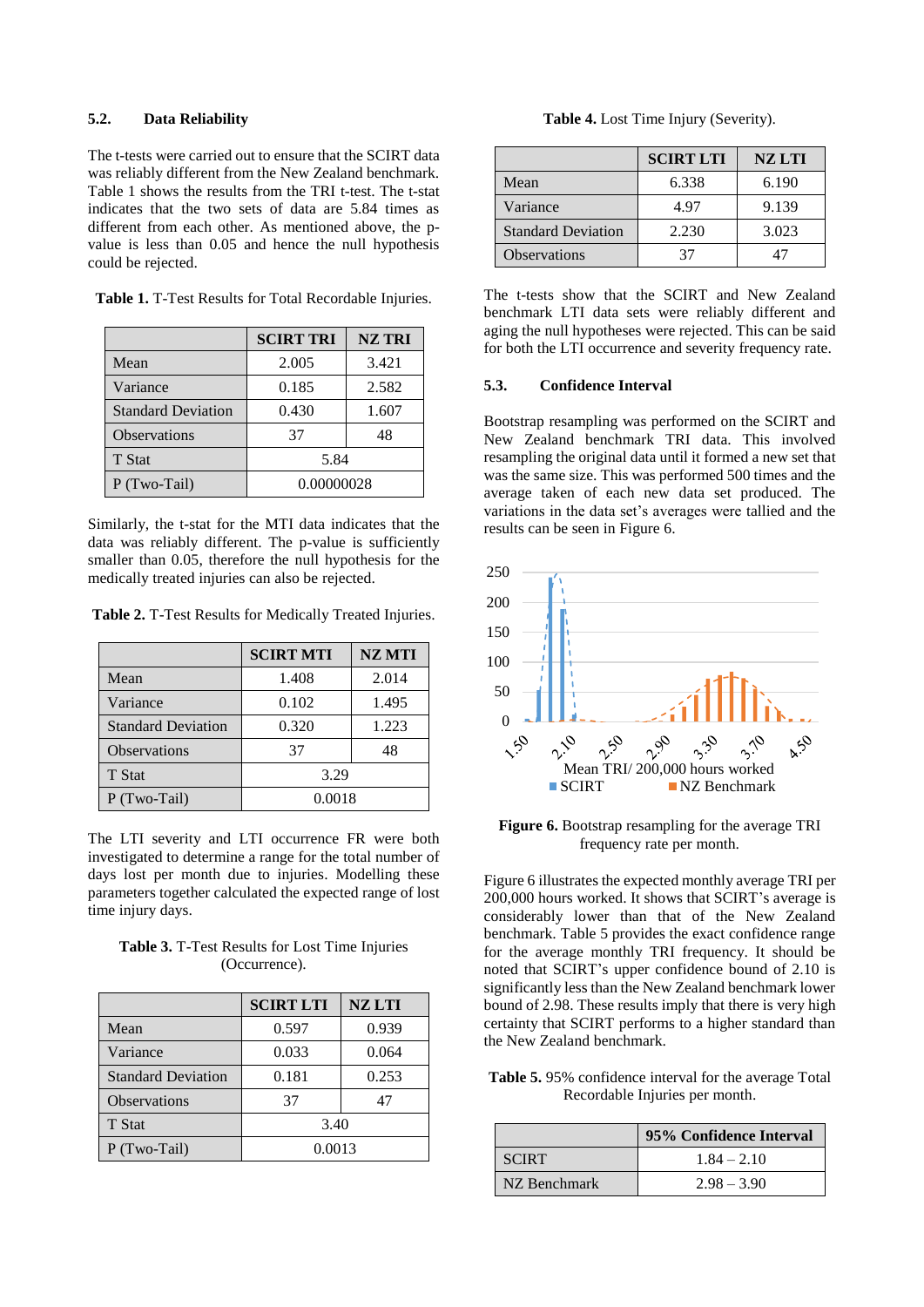#### **5.2. Data Reliability**

The t-tests were carried out to ensure that the SCIRT data was reliably different from the New Zealand benchmark. Table 1 shows the results from the TRI t-test. The t-stat indicates that the two sets of data are 5.84 times as different from each other. As mentioned above, the pvalue is less than 0.05 and hence the null hypothesis could be rejected.

**Table 1.** T-Test Results for Total Recordable Injuries.

|                           | <b>SCIRT TRI</b><br><b>NZ TRI</b> |       |
|---------------------------|-----------------------------------|-------|
| Mean                      | 2.005                             | 3.421 |
| Variance                  | 0.185                             | 2.582 |
| <b>Standard Deviation</b> | 0.430                             | 1.607 |
| <b>Observations</b>       | 37                                | 48    |
| T Stat                    | 5.84                              |       |
| P (Two-Tail)              | 0.00000028                        |       |

Similarly, the t-stat for the MTI data indicates that the data was reliably different. The p-value is sufficiently smaller than 0.05, therefore the null hypothesis for the medically treated injuries can also be rejected.

**Table 2.** T-Test Results for Medically Treated Injuries.

|                           | <b>SCIRT MTI</b> | <b>NZ MTI</b> |
|---------------------------|------------------|---------------|
| Mean                      | 1.408            | 2.014         |
| Variance                  | 0.102            | 1.495         |
| <b>Standard Deviation</b> | 0.320            | 1.223         |
| <b>Observations</b>       | 37               | 48            |
| T Stat                    | 3.29             |               |
| P (Two-Tail)              | 0.0018           |               |

The LTI severity and LTI occurrence FR were both investigated to determine a range for the total number of days lost per month due to injuries. Modelling these parameters together calculated the expected range of lost time injury days.

**Table 3.** T-Test Results for Lost Time Injuries (Occurrence).

|                           | <b>SCIRT LTI</b> | <b>NZLTI</b> |
|---------------------------|------------------|--------------|
| Mean                      | 0.597            | 0.939        |
| Variance                  | 0.033            | 0.064        |
| <b>Standard Deviation</b> | 0.181            | 0.253        |
| <b>Observations</b>       | 37               | 47           |
| T Stat                    | 3.40             |              |
| P (Two-Tail)              | 0.0013           |              |

|                           | <b>SCIRT LTI</b> | <b>NZ LTI</b> |
|---------------------------|------------------|---------------|
| Mean                      | 6.338            | 6.190         |
| Variance                  | 4.97             | 9.139         |
| <b>Standard Deviation</b> | 2.230            | 3.023         |
| <b>Observations</b>       |                  |               |

The t-tests show that the SCIRT and New Zealand benchmark LTI data sets were reliably different and aging the null hypotheses were rejected. This can be said for both the LTI occurrence and severity frequency rate.

#### **5.3. Confidence Interval**

Bootstrap resampling was performed on the SCIRT and New Zealand benchmark TRI data. This involved resampling the original data until it formed a new set that was the same size. This was performed 500 times and the average taken of each new data set produced. The variations in the data set's averages were tallied and the results can be seen in Figure 6.



**Figure 6.** Bootstrap resampling for the average TRI frequency rate per month.

Figure 6 illustrates the expected monthly average TRI per 200,000 hours worked. It shows that SCIRT's average is considerably lower than that of the New Zealand benchmark. Table 5 provides the exact confidence range for the average monthly TRI frequency. It should be noted that SCIRT's upper confidence bound of 2.10 is significantly less than the New Zealand benchmark lower bound of 2.98. These results imply that there is very high certainty that SCIRT performs to a higher standard than the New Zealand benchmark.

**Table 5.** 95% confidence interval for the average Total Recordable Injuries per month.

|              | 95% Confidence Interval |
|--------------|-------------------------|
| <b>SCIRT</b> | $1.84 - 2.10$           |
| NZ Benchmark | $2.98 - 3.90$           |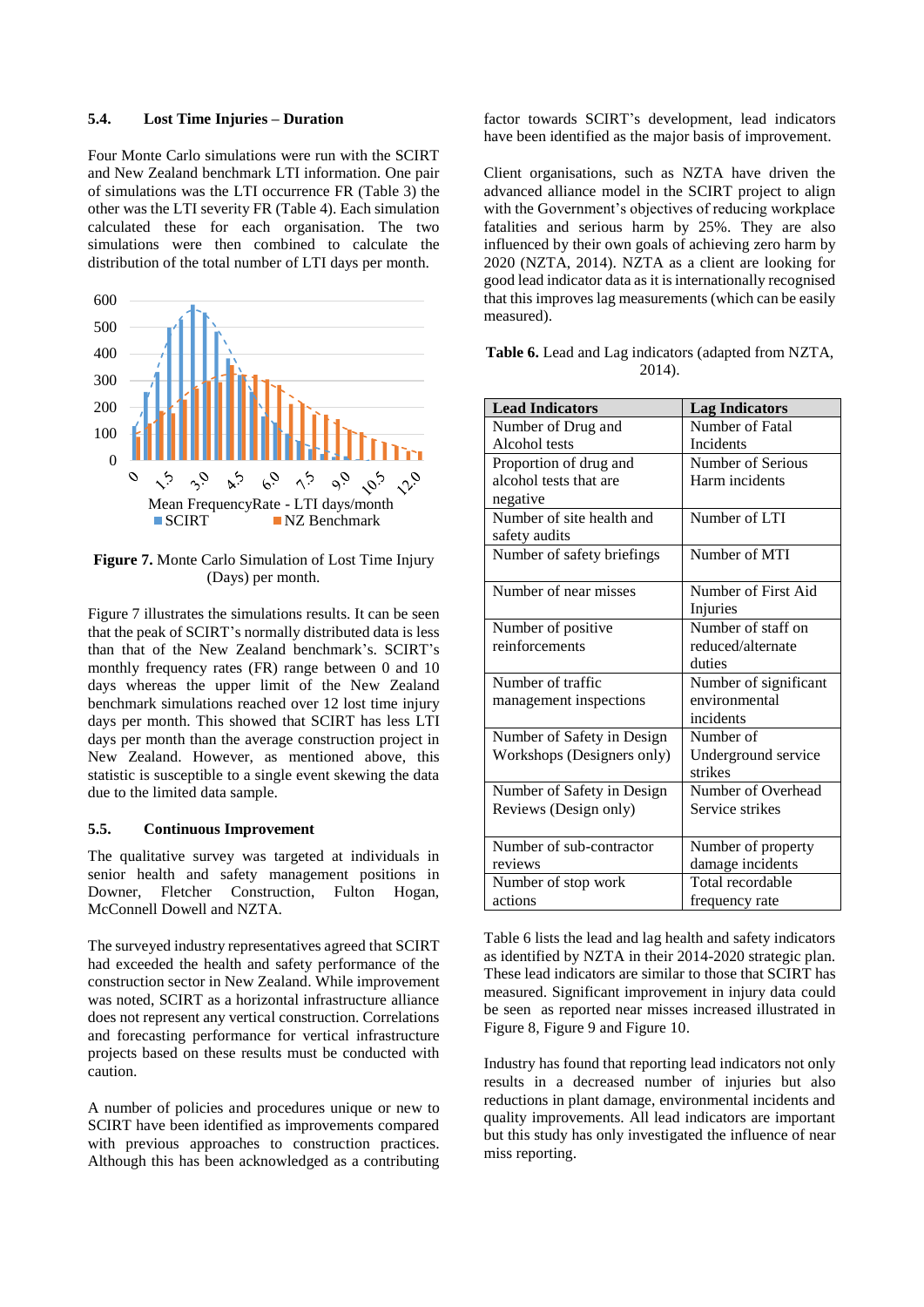#### **5.4. Lost Time Injuries – Duration**

Four Monte Carlo simulations were run with the SCIRT and New Zealand benchmark LTI information. One pair of simulations was the LTI occurrence FR (Table 3) the other was the LTI severity FR (Table 4). Each simulation calculated these for each organisation. The two simulations were then combined to calculate the distribution of the total number of LTI days per month.



**Figure 7.** Monte Carlo Simulation of Lost Time Injury (Days) per month.

Figure 7 illustrates the simulations results. It can be seen that the peak of SCIRT's normally distributed data is less than that of the New Zealand benchmark's. SCIRT's monthly frequency rates (FR) range between 0 and 10 days whereas the upper limit of the New Zealand benchmark simulations reached over 12 lost time injury days per month. This showed that SCIRT has less LTI days per month than the average construction project in New Zealand. However, as mentioned above, this statistic is susceptible to a single event skewing the data due to the limited data sample.

#### **5.5. Continuous Improvement**

The qualitative survey was targeted at individuals in senior health and safety management positions in Downer, Fletcher Construction, Fulton Hogan, McConnell Dowell and NZTA.

The surveyed industry representatives agreed that SCIRT had exceeded the health and safety performance of the construction sector in New Zealand. While improvement was noted, SCIRT as a horizontal infrastructure alliance does not represent any vertical construction. Correlations and forecasting performance for vertical infrastructure projects based on these results must be conducted with caution.

A number of policies and procedures unique or new to SCIRT have been identified as improvements compared with previous approaches to construction practices. Although this has been acknowledged as a contributing factor towards SCIRT's development, lead indicators have been identified as the major basis of improvement.

Client organisations, such as NZTA have driven the advanced alliance model in the SCIRT project to align with the Government's objectives of reducing workplace fatalities and serious harm by 25%. They are also influenced by their own goals of achieving zero harm by 2020 (NZTA, 2014). NZTA as a client are looking for good lead indicator data as it is internationally recognised that this improves lag measurements (which can be easily measured).

| <b>Table 6.</b> Lead and Lag indicators (adapted from NZTA, |        |  |
|-------------------------------------------------------------|--------|--|
|                                                             | 2014). |  |

| <b>Lead Indicators</b>     | <b>Lag Indicators</b> |
|----------------------------|-----------------------|
| Number of Drug and         | Number of Fatal       |
| Alcohol tests              | Incidents             |
| Proportion of drug and     | Number of Serious     |
| alcohol tests that are     | Harm incidents        |
| negative                   |                       |
| Number of site health and  | Number of LTI         |
| safety audits              |                       |
| Number of safety briefings | Number of MTI         |
|                            |                       |
| Number of near misses      | Number of First Aid   |
|                            | Injuries              |
| Number of positive         | Number of staff on    |
| reinforcements             | reduced/alternate     |
|                            | duties                |
| Number of traffic          | Number of significant |
| management inspections     | environmental         |
|                            | incidents             |
| Number of Safety in Design | Number of             |
| Workshops (Designers only) | Underground service   |
|                            | strikes               |
| Number of Safety in Design | Number of Overhead    |
| Reviews (Design only)      | Service strikes       |
|                            |                       |
| Number of sub-contractor   | Number of property    |
| reviews                    | damage incidents      |
| Number of stop work        | Total recordable      |
| actions                    | frequency rate        |

Table 6 lists the lead and lag health and safety indicators as identified by NZTA in their 2014-2020 strategic plan. These lead indicators are similar to those that SCIRT has measured. Significant improvement in injury data could be seen as reported near misses increased illustrated in Figure 8, Figure 9 and Figure 10.

Industry has found that reporting lead indicators not only results in a decreased number of injuries but also reductions in plant damage, environmental incidents and quality improvements. All lead indicators are important but this study has only investigated the influence of near miss reporting.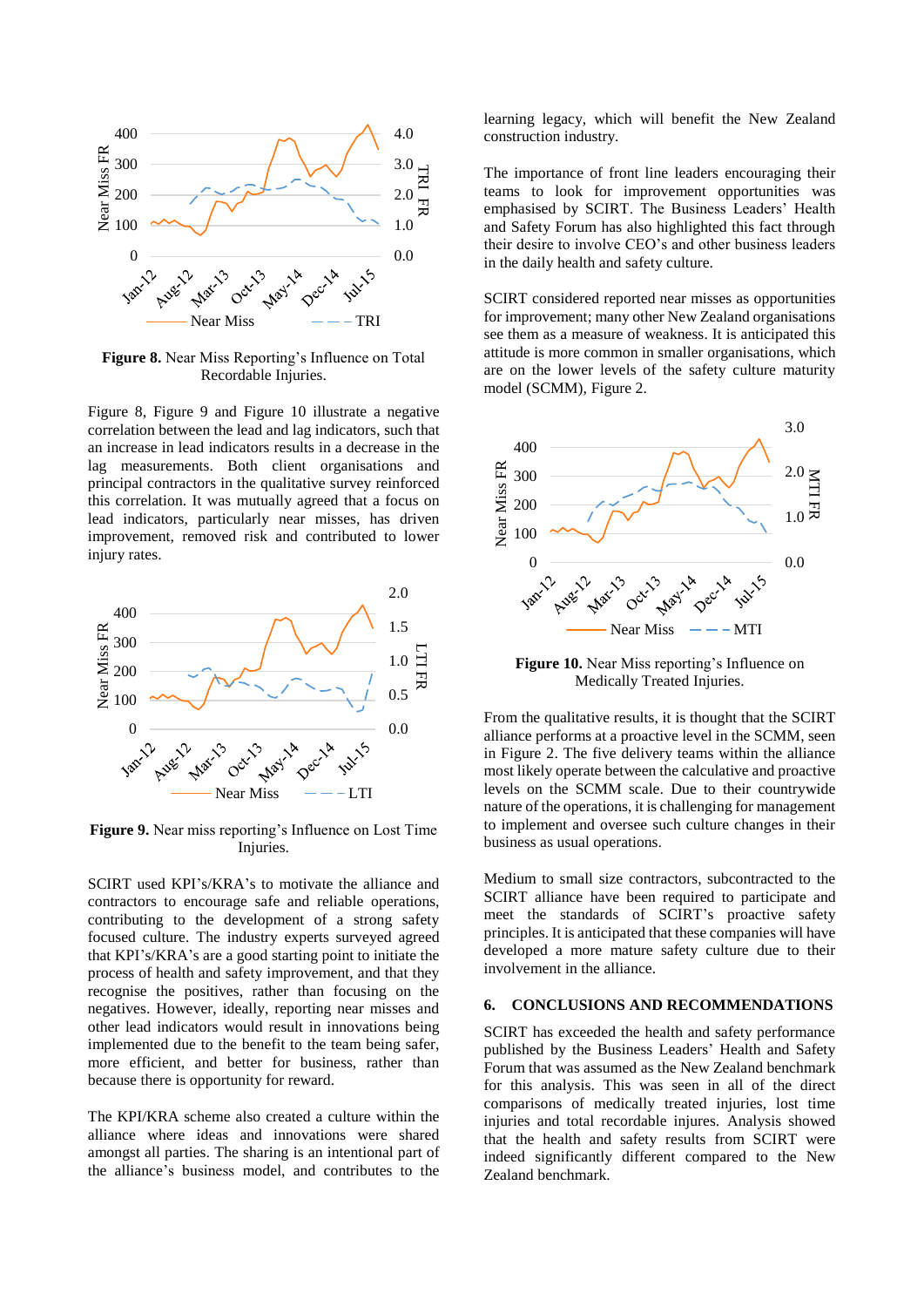

**Figure 8.** Near Miss Reporting's Influence on Total Recordable Injuries.

Figure 8, Figure 9 and Figure 10 illustrate a negative correlation between the lead and lag indicators, such that an increase in lead indicators results in a decrease in the lag measurements. Both client organisations and principal contractors in the qualitative survey reinforced this correlation. It was mutually agreed that a focus on lead indicators, particularly near misses, has driven improvement, removed risk and contributed to lower injury rates.



**Figure 9.** Near miss reporting's Influence on Lost Time Injuries.

SCIRT used KPI's/KRA's to motivate the alliance and contractors to encourage safe and reliable operations, contributing to the development of a strong safety focused culture. The industry experts surveyed agreed that KPI's/KRA's are a good starting point to initiate the process of health and safety improvement, and that they recognise the positives, rather than focusing on the negatives. However, ideally, reporting near misses and other lead indicators would result in innovations being implemented due to the benefit to the team being safer, more efficient, and better for business, rather than because there is opportunity for reward.

The KPI/KRA scheme also created a culture within the alliance where ideas and innovations were shared amongst all parties. The sharing is an intentional part of the alliance's business model, and contributes to the

learning legacy, which will benefit the New Zealand construction industry.

The importance of front line leaders encouraging their teams to look for improvement opportunities was emphasised by SCIRT. The Business Leaders' Health and Safety Forum has also highlighted this fact through their desire to involve CEO's and other business leaders in the daily health and safety culture.

SCIRT considered reported near misses as opportunities for improvement; many other New Zealand organisations see them as a measure of weakness. It is anticipated this attitude is more common in smaller organisations, which are on the lower levels of the safety culture maturity model (SCMM), Figure 2.



**Figure 10.** Near Miss reporting's Influence on Medically Treated Injuries.

From the qualitative results, it is thought that the SCIRT alliance performs at a proactive level in the SCMM, seen in Figure 2. The five delivery teams within the alliance most likely operate between the calculative and proactive levels on the SCMM scale. Due to their countrywide nature of the operations, it is challenging for management to implement and oversee such culture changes in their business as usual operations.

Medium to small size contractors, subcontracted to the SCIRT alliance have been required to participate and meet the standards of SCIRT's proactive safety principles. It is anticipated that these companies will have developed a more mature safety culture due to their involvement in the alliance.

# **6. CONCLUSIONS AND RECOMMENDATIONS**

SCIRT has exceeded the health and safety performance published by the Business Leaders' Health and Safety Forum that was assumed as the New Zealand benchmark for this analysis. This was seen in all of the direct comparisons of medically treated injuries, lost time injuries and total recordable injures. Analysis showed that the health and safety results from SCIRT were indeed significantly different compared to the New Zealand benchmark.